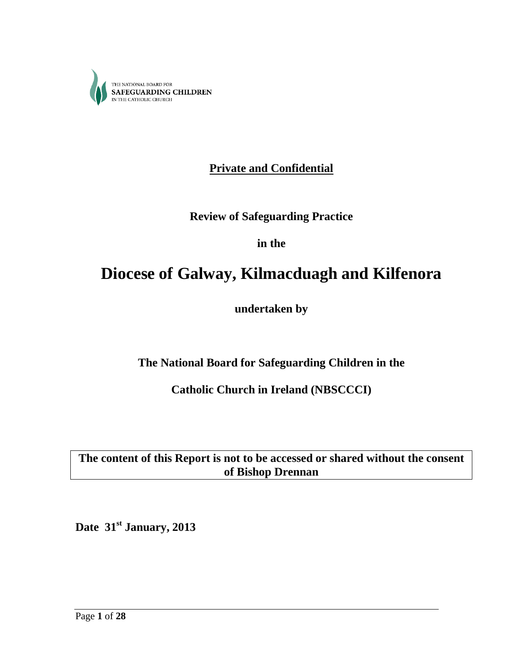

**Private and Confidential**

**Review of Safeguarding Practice**

**in the**

# **Diocese of Galway, Kilmacduagh and Kilfenora**

**undertaken by**

**The National Board for Safeguarding Children in the**

**Catholic Church in Ireland (NBSCCCI)**

**The content of this Report is not to be accessed or shared without the consent of Bishop Drennan** 

**Date 31st January, 2013**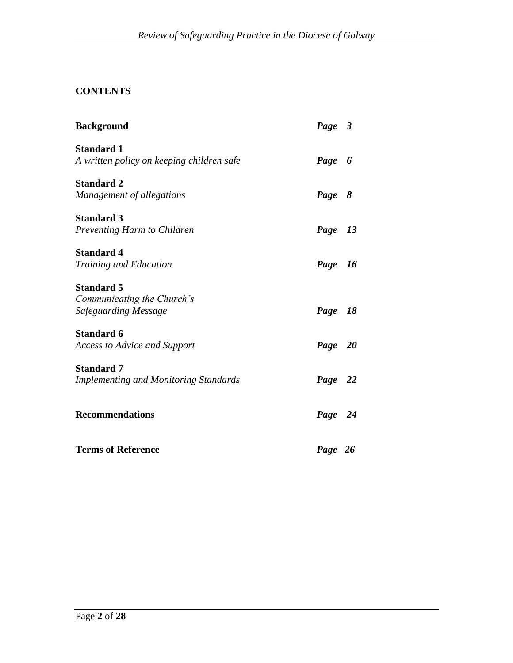# **CONTENTS**

| <b>Background</b>                                              | Page 3  |  |
|----------------------------------------------------------------|---------|--|
| <b>Standard 1</b><br>A written policy on keeping children safe | Page 6  |  |
| <b>Standard 2</b>                                              |         |  |
| Management of allegations                                      | Page 8  |  |
| <b>Standard 3</b>                                              |         |  |
| Preventing Harm to Children                                    | Page 13 |  |
| <b>Standard 4</b>                                              |         |  |
| <b>Training and Education</b>                                  | Page 16 |  |
| <b>Standard 5</b>                                              |         |  |
| Communicating the Church's<br>Safeguarding Message             | Page 18 |  |
|                                                                |         |  |
| <b>Standard 6</b><br><b>Access to Advice and Support</b>       | Page 20 |  |
|                                                                |         |  |
| <b>Standard 7</b>                                              |         |  |
| <b>Implementing and Monitoring Standards</b>                   | Page 22 |  |
| <b>Recommendations</b>                                         | Page 24 |  |
|                                                                |         |  |
| <b>Terms of Reference</b>                                      | Page 26 |  |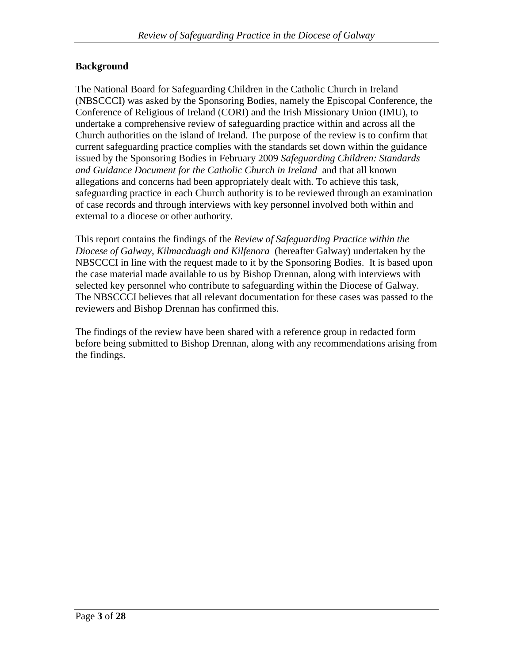## **Background**

The National Board for Safeguarding Children in the Catholic Church in Ireland (NBSCCCI) was asked by the Sponsoring Bodies, namely the Episcopal Conference, the Conference of Religious of Ireland (CORI) and the Irish Missionary Union (IMU), to undertake a comprehensive review of safeguarding practice within and across all the Church authorities on the island of Ireland. The purpose of the review is to confirm that current safeguarding practice complies with the standards set down within the guidance issued by the Sponsoring Bodies in February 2009 *Safeguarding Children: Standards and Guidance Document for the Catholic Church in Ireland* and that all known allegations and concerns had been appropriately dealt with. To achieve this task, safeguarding practice in each Church authority is to be reviewed through an examination of case records and through interviews with key personnel involved both within and external to a diocese or other authority.

This report contains the findings of the *Review of Safeguarding Practice within the Diocese of Galway, Kilmacduagh and Kilfenora* (hereafter Galway) undertaken by the NBSCCCI in line with the request made to it by the Sponsoring Bodies. It is based upon the case material made available to us by Bishop Drennan, along with interviews with selected key personnel who contribute to safeguarding within the Diocese of Galway. The NBSCCCI believes that all relevant documentation for these cases was passed to the reviewers and Bishop Drennan has confirmed this.

The findings of the review have been shared with a reference group in redacted form before being submitted to Bishop Drennan, along with any recommendations arising from the findings.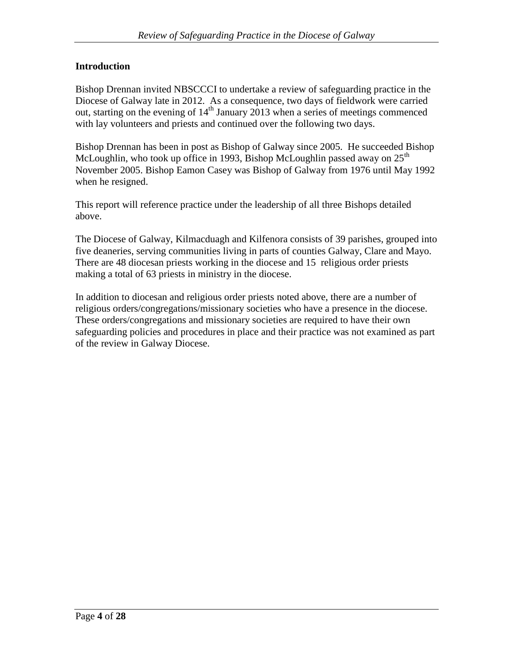## **Introduction**

Bishop Drennan invited NBSCCCI to undertake a review of safeguarding practice in the Diocese of Galway late in 2012. As a consequence, two days of fieldwork were carried out, starting on the evening of  $14<sup>th</sup>$  January 2013 when a series of meetings commenced with lay volunteers and priests and continued over the following two days.

Bishop Drennan has been in post as Bishop of Galway since 2005. He succeeded Bishop McLoughlin, who took up office in 1993, Bishop McLoughlin passed away on  $25<sup>th</sup>$ November 2005. Bishop Eamon Casey was Bishop of Galway from 1976 until May 1992 when he resigned.

This report will reference practice under the leadership of all three Bishops detailed above.

The Diocese of Galway, Kilmacduagh and Kilfenora consists of 39 parishes, grouped into five deaneries, serving communities living in parts of counties Galway, Clare and Mayo. There are 48 diocesan priests working in the diocese and 15 religious order priests making a total of 63 priests in ministry in the diocese.

In addition to diocesan and religious order priests noted above, there are a number of religious orders/congregations/missionary societies who have a presence in the diocese. These orders/congregations and missionary societies are required to have their own safeguarding policies and procedures in place and their practice was not examined as part of the review in Galway Diocese.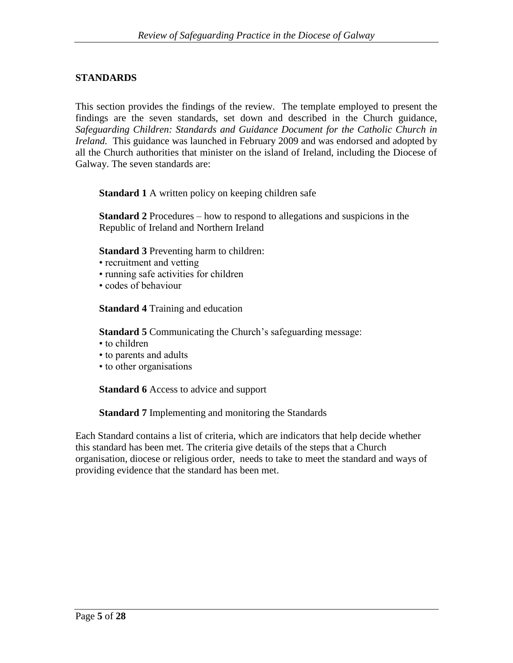## **STANDARDS**

This section provides the findings of the review. The template employed to present the findings are the seven standards, set down and described in the Church guidance, *Safeguarding Children: Standards and Guidance Document for the Catholic Church in Ireland.* This guidance was launched in February 2009 and was endorsed and adopted by all the Church authorities that minister on the island of Ireland, including the Diocese of Galway. The seven standards are:

**Standard 1** A written policy on keeping children safe

**Standard 2** Procedures – how to respond to allegations and suspicions in the Republic of Ireland and Northern Ireland

**Standard 3** Preventing harm to children:

- recruitment and vetting
- running safe activities for children
- codes of behaviour

**Standard 4** Training and education

**Standard 5** Communicating the Church's safeguarding message:

- to children
- to parents and adults
- to other organisations

**Standard 6** Access to advice and support

**Standard 7** Implementing and monitoring the Standards

Each Standard contains a list of criteria, which are indicators that help decide whether this standard has been met. The criteria give details of the steps that a Church organisation, diocese or religious order, needs to take to meet the standard and ways of providing evidence that the standard has been met.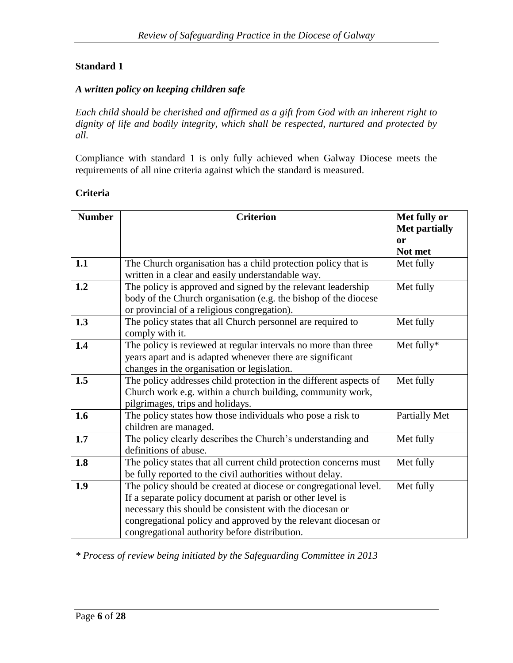## *A written policy on keeping children safe*

*Each child should be cherished and affirmed as a gift from God with an inherent right to dignity of life and bodily integrity, which shall be respected, nurtured and protected by all.*

Compliance with standard 1 is only fully achieved when Galway Diocese meets the requirements of all nine criteria against which the standard is measured.

### **Criteria**

| <b>Number</b> | <b>Criterion</b>                                                  | Met fully or         |
|---------------|-------------------------------------------------------------------|----------------------|
|               |                                                                   | <b>Met partially</b> |
|               |                                                                   | or                   |
|               |                                                                   | Not met              |
| 1.1           | The Church organisation has a child protection policy that is     | Met fully            |
|               | written in a clear and easily understandable way.                 |                      |
| 1.2           | The policy is approved and signed by the relevant leadership      | Met fully            |
|               | body of the Church organisation (e.g. the bishop of the diocese   |                      |
|               | or provincial of a religious congregation).                       |                      |
| 1.3           | The policy states that all Church personnel are required to       | Met fully            |
|               | comply with it.                                                   |                      |
| 1.4           | The policy is reviewed at regular intervals no more than three    | Met fully*           |
|               | years apart and is adapted whenever there are significant         |                      |
|               | changes in the organisation or legislation.                       |                      |
| 1.5           | The policy addresses child protection in the different aspects of | Met fully            |
|               | Church work e.g. within a church building, community work,        |                      |
|               | pilgrimages, trips and holidays.                                  |                      |
| 1.6           | The policy states how those individuals who pose a risk to        | <b>Partially Met</b> |
|               | children are managed.                                             |                      |
| 1.7           | The policy clearly describes the Church's understanding and       | Met fully            |
|               | definitions of abuse.                                             |                      |
| 1.8           | The policy states that all current child protection concerns must | Met fully            |
|               | be fully reported to the civil authorities without delay.         |                      |
| 1.9           | The policy should be created at diocese or congregational level.  | Met fully            |
|               | If a separate policy document at parish or other level is         |                      |
|               | necessary this should be consistent with the diocesan or          |                      |
|               | congregational policy and approved by the relevant diocesan or    |                      |
|               | congregational authority before distribution.                     |                      |

*\* Process of review being initiated by the Safeguarding Committee in 2013*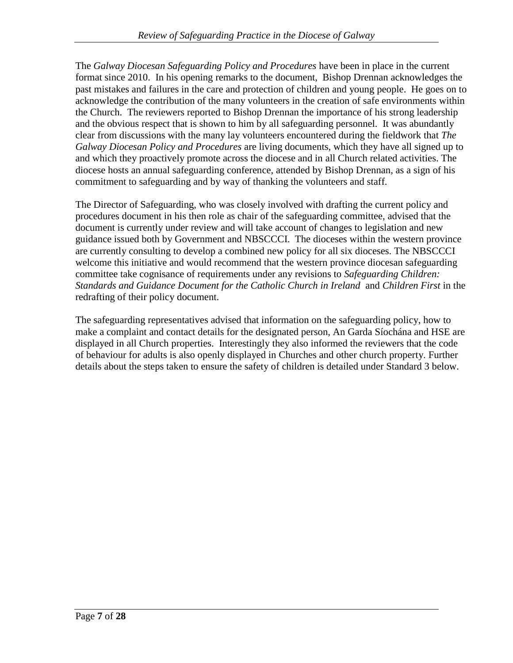The *Galway Diocesan Safeguarding Policy and Procedures* have been in place in the current format since 2010. In his opening remarks to the document, Bishop Drennan acknowledges the past mistakes and failures in the care and protection of children and young people. He goes on to acknowledge the contribution of the many volunteers in the creation of safe environments within the Church. The reviewers reported to Bishop Drennan the importance of his strong leadership and the obvious respect that is shown to him by all safeguarding personnel. It was abundantly clear from discussions with the many lay volunteers encountered during the fieldwork that *The Galway Diocesan Policy and Procedures* are living documents, which they have all signed up to and which they proactively promote across the diocese and in all Church related activities. The diocese hosts an annual safeguarding conference, attended by Bishop Drennan, as a sign of his commitment to safeguarding and by way of thanking the volunteers and staff.

The Director of Safeguarding, who was closely involved with drafting the current policy and procedures document in his then role as chair of the safeguarding committee, advised that the document is currently under review and will take account of changes to legislation and new guidance issued both by Government and NBSCCCI. The dioceses within the western province are currently consulting to develop a combined new policy for all six dioceses. The NBSCCCI welcome this initiative and would recommend that the western province diocesan safeguarding committee take cognisance of requirements under any revisions to *Safeguarding Children: Standards and Guidance Document for the Catholic Church in Ireland* and *Children First* in the redrafting of their policy document.

The safeguarding representatives advised that information on the safeguarding policy, how to make a complaint and contact details for the designated person, An Garda Síochána and HSE are displayed in all Church properties. Interestingly they also informed the reviewers that the code of behaviour for adults is also openly displayed in Churches and other church property. Further details about the steps taken to ensure the safety of children is detailed under Standard 3 below.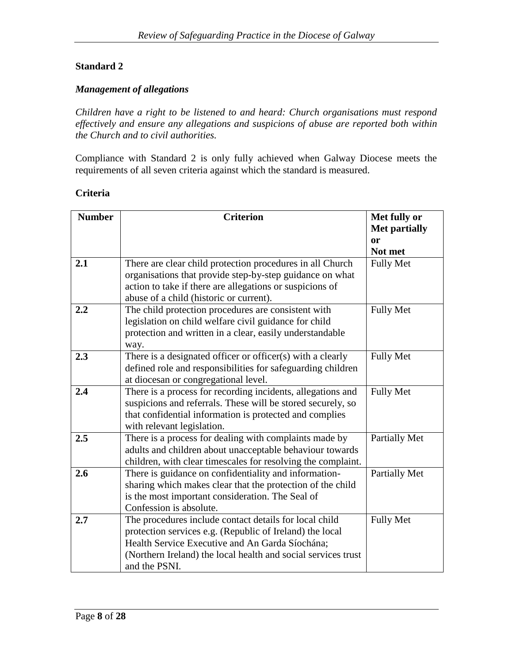## *Management of allegations*

*Children have a right to be listened to and heard: Church organisations must respond effectively and ensure any allegations and suspicions of abuse are reported both within the Church and to civil authorities.*

Compliance with Standard 2 is only fully achieved when Galway Diocese meets the requirements of all seven criteria against which the standard is measured.

#### **Criteria**

| <b>Number</b> | <b>Criterion</b>                                                                                               | Met fully or         |
|---------------|----------------------------------------------------------------------------------------------------------------|----------------------|
|               |                                                                                                                | <b>Met partially</b> |
|               |                                                                                                                | or                   |
|               |                                                                                                                | Not met              |
| 2.1           | There are clear child protection procedures in all Church                                                      | <b>Fully Met</b>     |
|               | organisations that provide step-by-step guidance on what                                                       |                      |
|               | action to take if there are allegations or suspicions of                                                       |                      |
|               | abuse of a child (historic or current).                                                                        |                      |
| 2.2           | The child protection procedures are consistent with                                                            | <b>Fully Met</b>     |
|               | legislation on child welfare civil guidance for child                                                          |                      |
|               | protection and written in a clear, easily understandable                                                       |                      |
|               | way.                                                                                                           |                      |
| 2.3           | There is a designated officer or officer(s) with a clearly                                                     | <b>Fully Met</b>     |
|               | defined role and responsibilities for safeguarding children                                                    |                      |
|               | at diocesan or congregational level.                                                                           |                      |
| 2.4           | There is a process for recording incidents, allegations and                                                    | <b>Fully Met</b>     |
|               | suspicions and referrals. These will be stored securely, so                                                    |                      |
|               | that confidential information is protected and complies                                                        |                      |
|               | with relevant legislation.                                                                                     |                      |
| 2.5           | There is a process for dealing with complaints made by                                                         | <b>Partially Met</b> |
|               | adults and children about unacceptable behaviour towards                                                       |                      |
|               | children, with clear timescales for resolving the complaint.                                                   |                      |
| 2.6           | There is guidance on confidentiality and information-                                                          | Partially Met        |
|               | sharing which makes clear that the protection of the child<br>is the most important consideration. The Seal of |                      |
|               | Confession is absolute.                                                                                        |                      |
| 2.7           | The procedures include contact details for local child                                                         | <b>Fully Met</b>     |
|               |                                                                                                                |                      |
|               | protection services e.g. (Republic of Ireland) the local<br>Health Service Executive and An Garda Síochána;    |                      |
|               | (Northern Ireland) the local health and social services trust                                                  |                      |
|               | and the PSNI.                                                                                                  |                      |
|               |                                                                                                                |                      |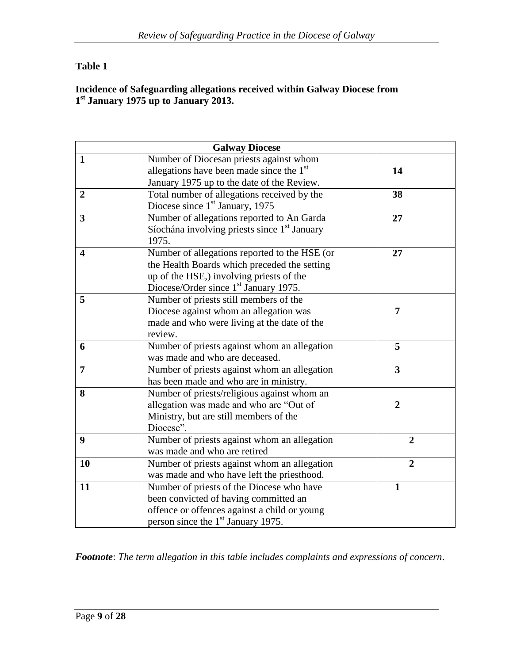# **Table 1**

#### **Incidence of Safeguarding allegations received within Galway Diocese from 1 st January 1975 up to January 2013.**

|                         | <b>Galway Diocese</b>                                    |                         |
|-------------------------|----------------------------------------------------------|-------------------------|
| $\mathbf{1}$            | Number of Diocesan priests against whom                  |                         |
|                         | allegations have been made since the $1st$               | 14                      |
|                         | January 1975 up to the date of the Review.               |                         |
| $\overline{2}$          | Total number of allegations received by the              | 38                      |
|                         | Diocese since 1 <sup>st</sup> January, 1975              |                         |
| $\overline{3}$          | Number of allegations reported to An Garda               | 27                      |
|                         | Síochána involving priests since 1 <sup>st</sup> January |                         |
|                         | 1975.                                                    |                         |
| $\overline{\mathbf{4}}$ | Number of allegations reported to the HSE (or            | 27                      |
|                         | the Health Boards which preceded the setting             |                         |
|                         | up of the HSE,) involving priests of the                 |                         |
|                         | Diocese/Order since 1 <sup>st</sup> January 1975.        |                         |
| 5                       | Number of priests still members of the                   |                         |
|                         | Diocese against whom an allegation was                   | 7                       |
|                         | made and who were living at the date of the              |                         |
|                         | review.                                                  |                         |
| 6                       | Number of priests against whom an allegation             | 5                       |
|                         | was made and who are deceased.                           |                         |
| 7                       | Number of priests against whom an allegation             | $\overline{\mathbf{3}}$ |
|                         | has been made and who are in ministry.                   |                         |
| 8                       | Number of priests/religious against whom an              |                         |
|                         | allegation was made and who are "Out of                  | $\overline{2}$          |
|                         | Ministry, but are still members of the                   |                         |
|                         | Diocese".                                                |                         |
| 9                       | Number of priests against whom an allegation             | $\overline{2}$          |
|                         | was made and who are retired                             |                         |
| 10                      | Number of priests against whom an allegation             | $\overline{2}$          |
|                         | was made and who have left the priesthood.               |                         |
| 11                      | Number of priests of the Diocese who have                | 1                       |
|                         | been convicted of having committed an                    |                         |
|                         | offence or offences against a child or young             |                         |
|                         | person since the 1 <sup>st</sup> January 1975.           |                         |

*Footnote*: *The term allegation in this table includes complaints and expressions of concern*.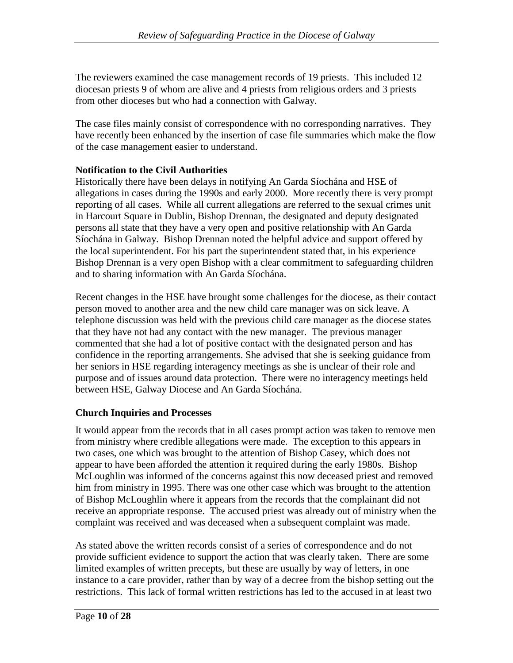The reviewers examined the case management records of 19 priests. This included 12 diocesan priests 9 of whom are alive and 4 priests from religious orders and 3 priests from other dioceses but who had a connection with Galway.

The case files mainly consist of correspondence with no corresponding narratives. They have recently been enhanced by the insertion of case file summaries which make the flow of the case management easier to understand.

## **Notification to the Civil Authorities**

Historically there have been delays in notifying An Garda Síochána and HSE of allegations in cases during the 1990s and early 2000. More recently there is very prompt reporting of all cases. While all current allegations are referred to the sexual crimes unit in Harcourt Square in Dublin, Bishop Drennan, the designated and deputy designated persons all state that they have a very open and positive relationship with An Garda Síochána in Galway. Bishop Drennan noted the helpful advice and support offered by the local superintendent. For his part the superintendent stated that, in his experience Bishop Drennan is a very open Bishop with a clear commitment to safeguarding children and to sharing information with An Garda Síochána.

Recent changes in the HSE have brought some challenges for the diocese, as their contact person moved to another area and the new child care manager was on sick leave. A telephone discussion was held with the previous child care manager as the diocese states that they have not had any contact with the new manager. The previous manager commented that she had a lot of positive contact with the designated person and has confidence in the reporting arrangements. She advised that she is seeking guidance from her seniors in HSE regarding interagency meetings as she is unclear of their role and purpose and of issues around data protection. There were no interagency meetings held between HSE, Galway Diocese and An Garda Síochána.

## **Church Inquiries and Processes**

It would appear from the records that in all cases prompt action was taken to remove men from ministry where credible allegations were made. The exception to this appears in two cases, one which was brought to the attention of Bishop Casey, which does not appear to have been afforded the attention it required during the early 1980s. Bishop McLoughlin was informed of the concerns against this now deceased priest and removed him from ministry in 1995. There was one other case which was brought to the attention of Bishop McLoughlin where it appears from the records that the complainant did not receive an appropriate response. The accused priest was already out of ministry when the complaint was received and was deceased when a subsequent complaint was made.

As stated above the written records consist of a series of correspondence and do not provide sufficient evidence to support the action that was clearly taken. There are some limited examples of written precepts, but these are usually by way of letters, in one instance to a care provider, rather than by way of a decree from the bishop setting out the restrictions. This lack of formal written restrictions has led to the accused in at least two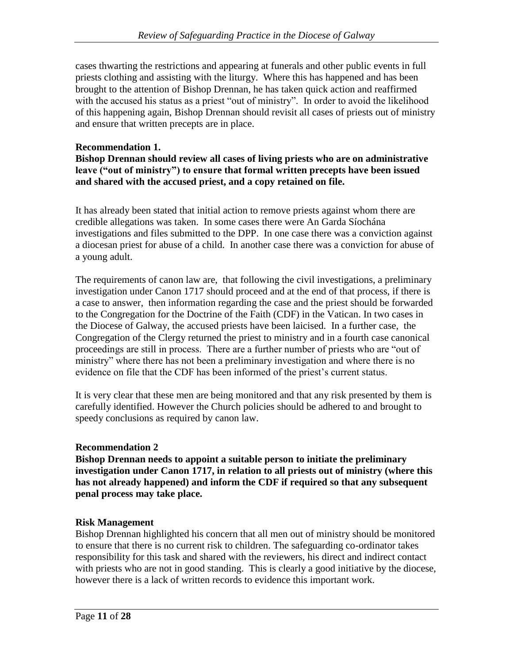cases thwarting the restrictions and appearing at funerals and other public events in full priests clothing and assisting with the liturgy. Where this has happened and has been brought to the attention of Bishop Drennan, he has taken quick action and reaffirmed with the accused his status as a priest "out of ministry". In order to avoid the likelihood of this happening again, Bishop Drennan should revisit all cases of priests out of ministry and ensure that written precepts are in place.

## **Recommendation 1.**

**Bishop Drennan should review all cases of living priests who are on administrative leave ("out of ministry") to ensure that formal written precepts have been issued and shared with the accused priest, and a copy retained on file.**

It has already been stated that initial action to remove priests against whom there are credible allegations was taken. In some cases there were An Garda Síochána investigations and files submitted to the DPP. In one case there was a conviction against a diocesan priest for abuse of a child. In another case there was a conviction for abuse of a young adult.

The requirements of canon law are, that following the civil investigations, a preliminary investigation under Canon 1717 should proceed and at the end of that process, if there is a case to answer, then information regarding the case and the priest should be forwarded to the Congregation for the Doctrine of the Faith (CDF) in the Vatican. In two cases in the Diocese of Galway, the accused priests have been laicised. In a further case, the Congregation of the Clergy returned the priest to ministry and in a fourth case canonical proceedings are still in process. There are a further number of priests who are "out of ministry" where there has not been a preliminary investigation and where there is no evidence on file that the CDF has been informed of the priest's current status.

It is very clear that these men are being monitored and that any risk presented by them is carefully identified. However the Church policies should be adhered to and brought to speedy conclusions as required by canon law.

### **Recommendation 2**

**Bishop Drennan needs to appoint a suitable person to initiate the preliminary investigation under Canon 1717, in relation to all priests out of ministry (where this has not already happened) and inform the CDF if required so that any subsequent penal process may take place.**

## **Risk Management**

Bishop Drennan highlighted his concern that all men out of ministry should be monitored to ensure that there is no current risk to children. The safeguarding co-ordinator takes responsibility for this task and shared with the reviewers, his direct and indirect contact with priests who are not in good standing. This is clearly a good initiative by the diocese, however there is a lack of written records to evidence this important work.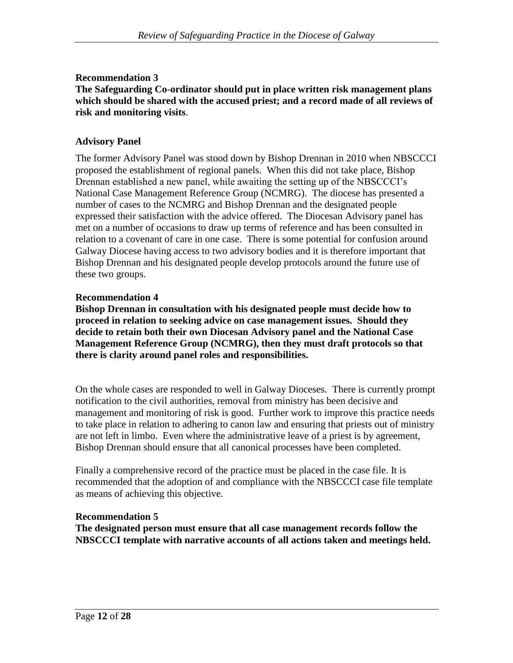## **Recommendation 3**

### **The Safeguarding Co-ordinator should put in place written risk management plans which should be shared with the accused priest; and a record made of all reviews of risk and monitoring visits**.

## **Advisory Panel**

The former Advisory Panel was stood down by Bishop Drennan in 2010 when NBSCCCI proposed the establishment of regional panels. When this did not take place, Bishop Drennan established a new panel, while awaiting the setting up of the NBSCCCI's National Case Management Reference Group (NCMRG). The diocese has presented a number of cases to the NCMRG and Bishop Drennan and the designated people expressed their satisfaction with the advice offered. The Diocesan Advisory panel has met on a number of occasions to draw up terms of reference and has been consulted in relation to a covenant of care in one case. There is some potential for confusion around Galway Diocese having access to two advisory bodies and it is therefore important that Bishop Drennan and his designated people develop protocols around the future use of these two groups.

### **Recommendation 4**

**Bishop Drennan in consultation with his designated people must decide how to proceed in relation to seeking advice on case management issues. Should they decide to retain both their own Diocesan Advisory panel and the National Case Management Reference Group (NCMRG), then they must draft protocols so that there is clarity around panel roles and responsibilities.**

On the whole cases are responded to well in Galway Dioceses. There is currently prompt notification to the civil authorities, removal from ministry has been decisive and management and monitoring of risk is good. Further work to improve this practice needs to take place in relation to adhering to canon law and ensuring that priests out of ministry are not left in limbo. Even where the administrative leave of a priest is by agreement, Bishop Drennan should ensure that all canonical processes have been completed.

Finally a comprehensive record of the practice must be placed in the case file. It is recommended that the adoption of and compliance with the NBSCCCI case file template as means of achieving this objective.

### **Recommendation 5**

**The designated person must ensure that all case management records follow the NBSCCCI template with narrative accounts of all actions taken and meetings held.**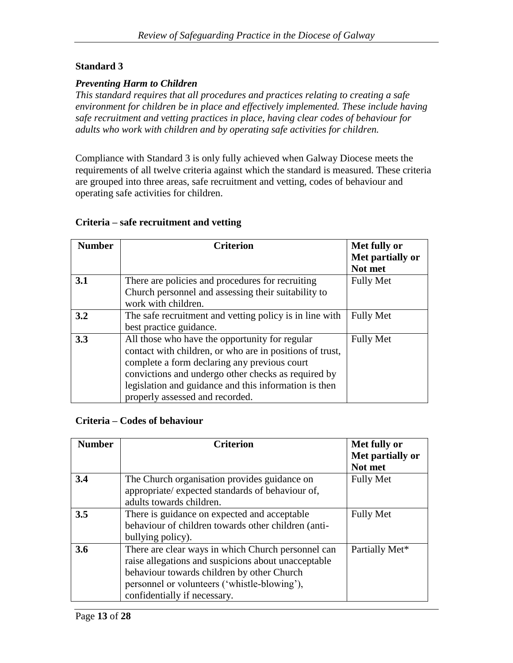## *Preventing Harm to Children*

*This standard requires that all procedures and practices relating to creating a safe environment for children be in place and effectively implemented. These include having safe recruitment and vetting practices in place, having clear codes of behaviour for adults who work with children and by operating safe activities for children.*

Compliance with Standard 3 is only fully achieved when Galway Diocese meets the requirements of all twelve criteria against which the standard is measured. These criteria are grouped into three areas, safe recruitment and vetting, codes of behaviour and operating safe activities for children.

#### **Criteria – safe recruitment and vetting**

| <b>Number</b> | <b>Criterion</b>                                         | Met fully or     |
|---------------|----------------------------------------------------------|------------------|
|               |                                                          | Met partially or |
|               |                                                          | Not met          |
| 3.1           | There are policies and procedures for recruiting         | <b>Fully Met</b> |
|               | Church personnel and assessing their suitability to      |                  |
|               | work with children.                                      |                  |
| 3.2           | The safe recruitment and vetting policy is in line with  | <b>Fully Met</b> |
|               | best practice guidance.                                  |                  |
| 3.3           | All those who have the opportunity for regular           | <b>Fully Met</b> |
|               | contact with children, or who are in positions of trust, |                  |
|               | complete a form declaring any previous court             |                  |
|               | convictions and undergo other checks as required by      |                  |
|               | legislation and guidance and this information is then    |                  |
|               | properly assessed and recorded.                          |                  |

### **Criteria – Codes of behaviour**

| <b>Number</b> | <b>Criterion</b>                                                                                                                                                                                                                        | Met fully or<br>Met partially or<br>Not met |
|---------------|-----------------------------------------------------------------------------------------------------------------------------------------------------------------------------------------------------------------------------------------|---------------------------------------------|
| 3.4           | The Church organisation provides guidance on<br>appropriate/ expected standards of behaviour of,<br>adults towards children.                                                                                                            | <b>Fully Met</b>                            |
| 3.5           | There is guidance on expected and acceptable<br>behaviour of children towards other children (anti-<br>bullying policy).                                                                                                                | <b>Fully Met</b>                            |
| 3.6           | There are clear ways in which Church personnel can<br>raise allegations and suspicions about unacceptable<br>behaviour towards children by other Church<br>personnel or volunteers ('whistle-blowing'),<br>confidentially if necessary. | Partially Met*                              |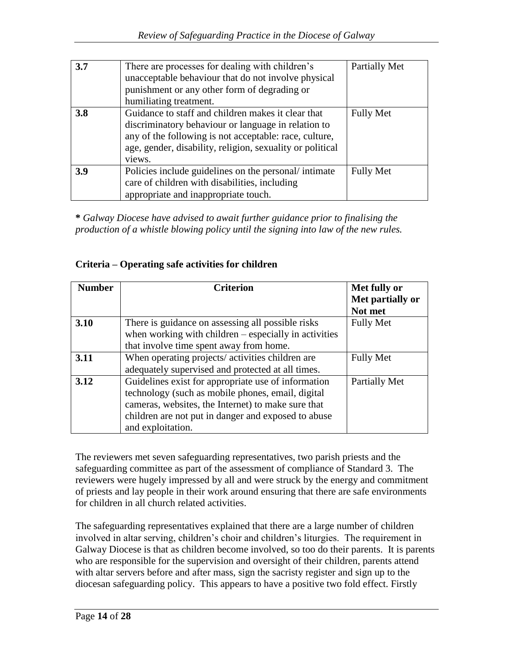| 3.7 | There are processes for dealing with children's<br>unacceptable behaviour that do not involve physical<br>punishment or any other form of degrading or<br>humiliating treatment.                                                           | Partially Met    |
|-----|--------------------------------------------------------------------------------------------------------------------------------------------------------------------------------------------------------------------------------------------|------------------|
| 3.8 | Guidance to staff and children makes it clear that<br>discriminatory behaviour or language in relation to<br>any of the following is not acceptable: race, culture,<br>age, gender, disability, religion, sexuality or political<br>views. | <b>Fully Met</b> |
| 3.9 | Policies include guidelines on the personal/intimate<br>care of children with disabilities, including<br>appropriate and inappropriate touch.                                                                                              | <b>Fully Met</b> |

**\*** *Galway Diocese have advised to await further guidance prior to finalising the production of a whistle blowing policy until the signing into law of the new rules.*

## **Criteria – Operating safe activities for children**

| <b>Number</b> | <b>Criterion</b>                                        | Met fully or     |
|---------------|---------------------------------------------------------|------------------|
|               |                                                         | Met partially or |
|               |                                                         | Not met          |
| 3.10          | There is guidance on assessing all possible risks       | <b>Fully Met</b> |
|               | when working with children $-$ especially in activities |                  |
|               | that involve time spent away from home.                 |                  |
| 3.11          | When operating projects/activities children are         | <b>Fully Met</b> |
|               | adequately supervised and protected at all times.       |                  |
| 3.12          | Guidelines exist for appropriate use of information     | Partially Met    |
|               | technology (such as mobile phones, email, digital       |                  |
|               | cameras, websites, the Internet) to make sure that      |                  |
|               | children are not put in danger and exposed to abuse     |                  |
|               | and exploitation.                                       |                  |

The reviewers met seven safeguarding representatives, two parish priests and the safeguarding committee as part of the assessment of compliance of Standard 3. The reviewers were hugely impressed by all and were struck by the energy and commitment of priests and lay people in their work around ensuring that there are safe environments for children in all church related activities.

The safeguarding representatives explained that there are a large number of children involved in altar serving, children's choir and children's liturgies. The requirement in Galway Diocese is that as children become involved, so too do their parents. It is parents who are responsible for the supervision and oversight of their children, parents attend with altar servers before and after mass, sign the sacristy register and sign up to the diocesan safeguarding policy. This appears to have a positive two fold effect. Firstly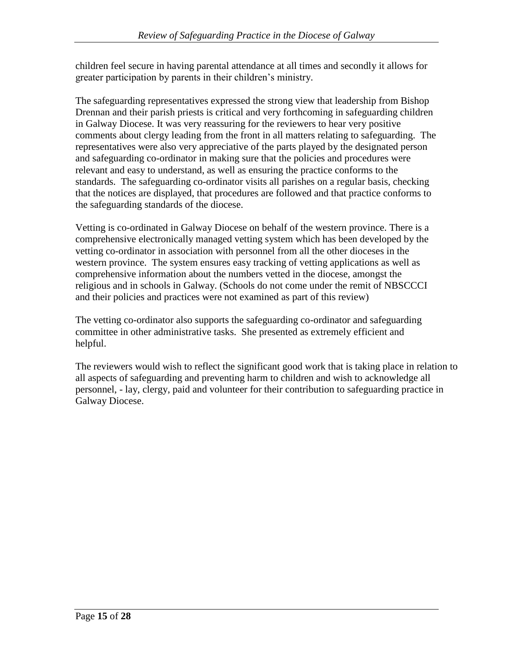children feel secure in having parental attendance at all times and secondly it allows for greater participation by parents in their children's ministry.

The safeguarding representatives expressed the strong view that leadership from Bishop Drennan and their parish priests is critical and very forthcoming in safeguarding children in Galway Diocese. It was very reassuring for the reviewers to hear very positive comments about clergy leading from the front in all matters relating to safeguarding. The representatives were also very appreciative of the parts played by the designated person and safeguarding co-ordinator in making sure that the policies and procedures were relevant and easy to understand, as well as ensuring the practice conforms to the standards. The safeguarding co-ordinator visits all parishes on a regular basis, checking that the notices are displayed, that procedures are followed and that practice conforms to the safeguarding standards of the diocese.

Vetting is co-ordinated in Galway Diocese on behalf of the western province. There is a comprehensive electronically managed vetting system which has been developed by the vetting co-ordinator in association with personnel from all the other dioceses in the western province. The system ensures easy tracking of vetting applications as well as comprehensive information about the numbers vetted in the diocese, amongst the religious and in schools in Galway. (Schools do not come under the remit of NBSCCCI and their policies and practices were not examined as part of this review)

The vetting co-ordinator also supports the safeguarding co-ordinator and safeguarding committee in other administrative tasks. She presented as extremely efficient and helpful.

The reviewers would wish to reflect the significant good work that is taking place in relation to all aspects of safeguarding and preventing harm to children and wish to acknowledge all personnel, - lay, clergy, paid and volunteer for their contribution to safeguarding practice in Galway Diocese.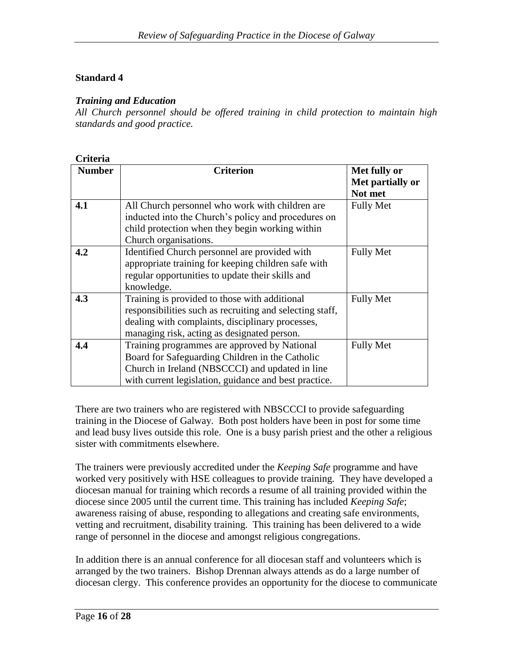## *Training and Education*

*All Church personnel should be offered training in child protection to maintain high standards and good practice.*

| Criteria      |                                                          |                  |
|---------------|----------------------------------------------------------|------------------|
| <b>Number</b> | <b>Criterion</b>                                         | Met fully or     |
|               |                                                          | Met partially or |
|               |                                                          | Not met          |
| 4.1           | All Church personnel who work with children are          | <b>Fully Met</b> |
|               | inducted into the Church's policy and procedures on      |                  |
|               | child protection when they begin working within          |                  |
|               | Church organisations.                                    |                  |
| 4.2           | Identified Church personnel are provided with            | <b>Fully Met</b> |
|               | appropriate training for keeping children safe with      |                  |
|               | regular opportunities to update their skills and         |                  |
|               | knowledge.                                               |                  |
| 4.3           | Training is provided to those with additional            | <b>Fully Met</b> |
|               | responsibilities such as recruiting and selecting staff, |                  |
|               | dealing with complaints, disciplinary processes,         |                  |
|               | managing risk, acting as designated person.              |                  |
| 4.4           | Training programmes are approved by National             | <b>Fully Met</b> |
|               | Board for Safeguarding Children in the Catholic          |                  |
|               | Church in Ireland (NBSCCCI) and updated in line          |                  |
|               | with current legislation, guidance and best practice.    |                  |

There are two trainers who are registered with NBSCCCI to provide safeguarding training in the Diocese of Galway. Both post holders have been in post for some time and lead busy lives outside this role. One is a busy parish priest and the other a religious sister with commitments elsewhere.

The trainers were previously accredited under the *Keeping Safe* programme and have worked very positively with HSE colleagues to provide training. They have developed a diocesan manual for training which records a resume of all training provided within the diocese since 2005 until the current time. This training has included *Keeping Safe*; awareness raising of abuse, responding to allegations and creating safe environments, vetting and recruitment, disability training. This training has been delivered to a wide range of personnel in the diocese and amongst religious congregations.

In addition there is an annual conference for all diocesan staff and volunteers which is arranged by the two trainers. Bishop Drennan always attends as do a large number of diocesan clergy. This conference provides an opportunity for the diocese to communicate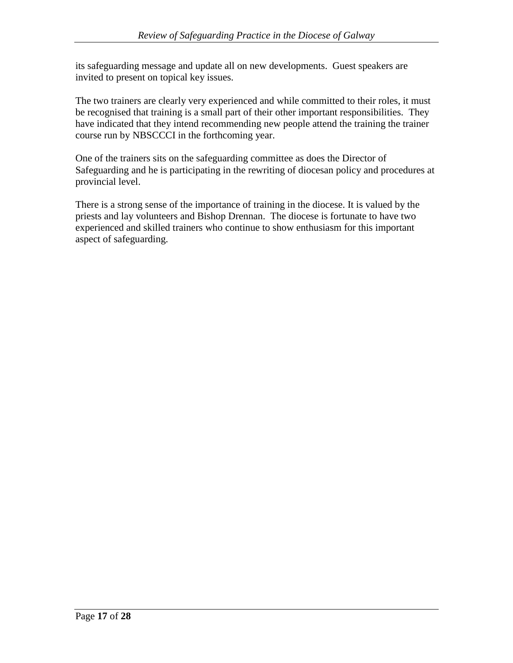its safeguarding message and update all on new developments. Guest speakers are invited to present on topical key issues.

The two trainers are clearly very experienced and while committed to their roles, it must be recognised that training is a small part of their other important responsibilities. They have indicated that they intend recommending new people attend the training the trainer course run by NBSCCCI in the forthcoming year.

One of the trainers sits on the safeguarding committee as does the Director of Safeguarding and he is participating in the rewriting of diocesan policy and procedures at provincial level.

There is a strong sense of the importance of training in the diocese. It is valued by the priests and lay volunteers and Bishop Drennan. The diocese is fortunate to have two experienced and skilled trainers who continue to show enthusiasm for this important aspect of safeguarding.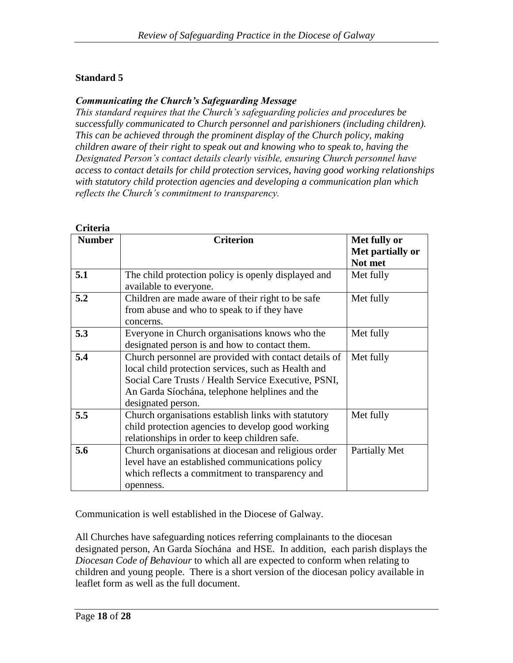## *Communicating the Church's Safeguarding Message*

*This standard requires that the Church's safeguarding policies and procedures be successfully communicated to Church personnel and parishioners (including children). This can be achieved through the prominent display of the Church policy, making children aware of their right to speak out and knowing who to speak to, having the Designated Person's contact details clearly visible, ensuring Church personnel have access to contact details for child protection services, having good working relationships with statutory child protection agencies and developing a communication plan which reflects the Church's commitment to transparency.*

| Criteria      |                                                                                                                                                                                                                                              |                                             |
|---------------|----------------------------------------------------------------------------------------------------------------------------------------------------------------------------------------------------------------------------------------------|---------------------------------------------|
| <b>Number</b> | <b>Criterion</b>                                                                                                                                                                                                                             | Met fully or<br>Met partially or<br>Not met |
| 5.1           | The child protection policy is openly displayed and<br>available to everyone.                                                                                                                                                                | Met fully                                   |
| 5.2           | Children are made aware of their right to be safe<br>from abuse and who to speak to if they have<br>concerns.                                                                                                                                | Met fully                                   |
| 5.3           | Everyone in Church organisations knows who the<br>designated person is and how to contact them.                                                                                                                                              | Met fully                                   |
| 5.4           | Church personnel are provided with contact details of<br>local child protection services, such as Health and<br>Social Care Trusts / Health Service Executive, PSNI,<br>An Garda Síochána, telephone helplines and the<br>designated person. | Met fully                                   |
| 5.5           | Church organisations establish links with statutory<br>child protection agencies to develop good working<br>relationships in order to keep children safe.                                                                                    | Met fully                                   |
| 5.6           | Church organisations at diocesan and religious order<br>level have an established communications policy<br>which reflects a commitment to transparency and<br>openness.                                                                      | Partially Met                               |

Communication is well established in the Diocese of Galway.

All Churches have safeguarding notices referring complainants to the diocesan designated person, An Garda Síochána and HSE. In addition, each parish displays the *Diocesan Code of Behaviour* to which all are expected to conform when relating to children and young people. There is a short version of the diocesan policy available in leaflet form as well as the full document.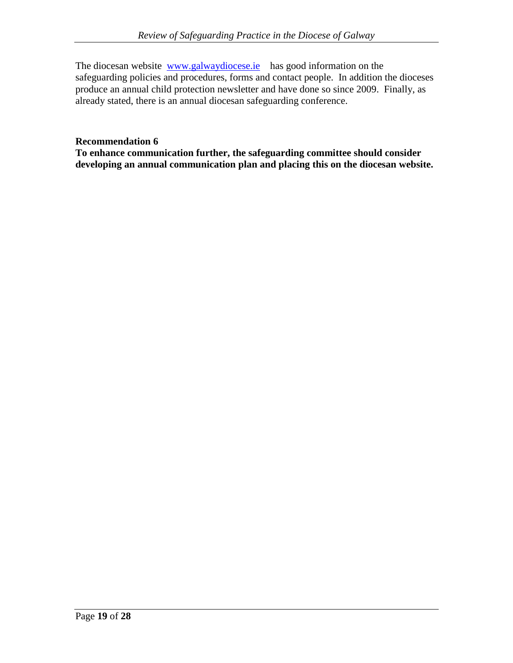The diocesan website [www.galwaydiocese.ie](http://www.galwaydiocese.ie/) has good information on the safeguarding policies and procedures, forms and contact people. In addition the dioceses produce an annual child protection newsletter and have done so since 2009. Finally, as already stated, there is an annual diocesan safeguarding conference.

## **Recommendation 6**

**To enhance communication further, the safeguarding committee should consider developing an annual communication plan and placing this on the diocesan website.**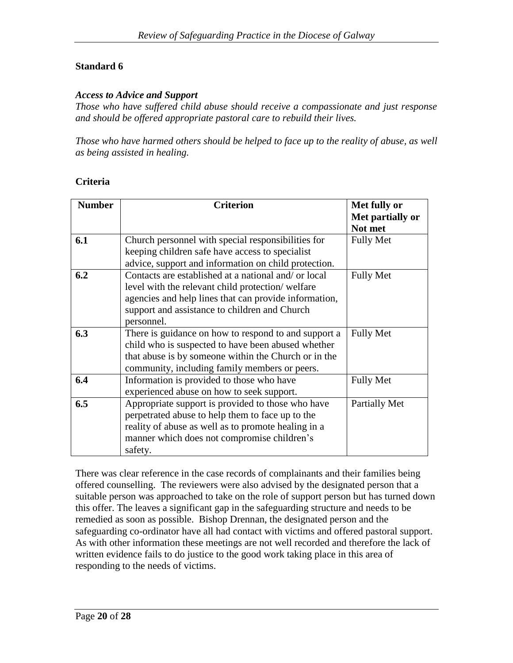#### *Access to Advice and Support*

*Those who have suffered child abuse should receive a compassionate and just response and should be offered appropriate pastoral care to rebuild their lives.*

*Those who have harmed others should be helped to face up to the reality of abuse, as well as being assisted in healing.*

### **Criteria**

| <b>Number</b> | <b>Criterion</b>                                      | Met fully or     |
|---------------|-------------------------------------------------------|------------------|
|               |                                                       | Met partially or |
|               |                                                       | Not met          |
| 6.1           | Church personnel with special responsibilities for    | <b>Fully Met</b> |
|               | keeping children safe have access to specialist       |                  |
|               | advice, support and information on child protection.  |                  |
| 6.2           | Contacts are established at a national and/ or local  | <b>Fully Met</b> |
|               | level with the relevant child protection/welfare      |                  |
|               | agencies and help lines that can provide information, |                  |
|               | support and assistance to children and Church         |                  |
|               | personnel.                                            |                  |
| 6.3           | There is guidance on how to respond to and support a  | <b>Fully Met</b> |
|               | child who is suspected to have been abused whether    |                  |
|               | that abuse is by someone within the Church or in the  |                  |
|               | community, including family members or peers.         |                  |
| 6.4           | Information is provided to those who have             | <b>Fully Met</b> |
|               | experienced abuse on how to seek support.             |                  |
| 6.5           | Appropriate support is provided to those who have     | Partially Met    |
|               | perpetrated abuse to help them to face up to the      |                  |
|               | reality of abuse as well as to promote healing in a   |                  |
|               | manner which does not compromise children's           |                  |
|               | safety.                                               |                  |

There was clear reference in the case records of complainants and their families being offered counselling. The reviewers were also advised by the designated person that a suitable person was approached to take on the role of support person but has turned down this offer. The leaves a significant gap in the safeguarding structure and needs to be remedied as soon as possible. Bishop Drennan, the designated person and the safeguarding co-ordinator have all had contact with victims and offered pastoral support. As with other information these meetings are not well recorded and therefore the lack of written evidence fails to do justice to the good work taking place in this area of responding to the needs of victims.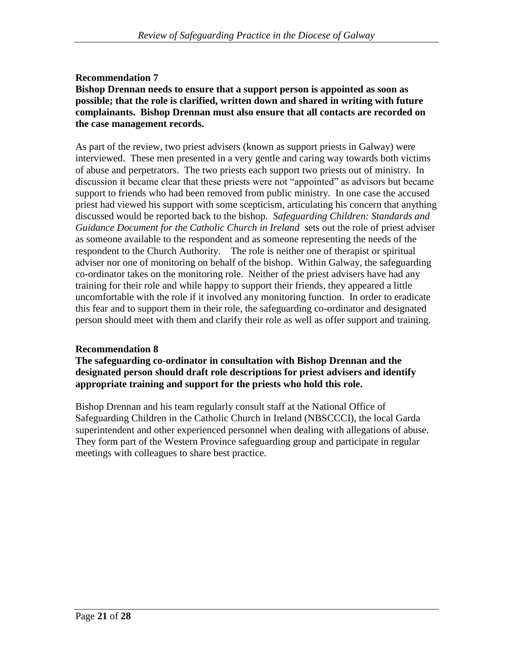## **Recommendation 7**

#### **Bishop Drennan needs to ensure that a support person is appointed as soon as possible; that the role is clarified, written down and shared in writing with future complainants. Bishop Drennan must also ensure that all contacts are recorded on the case management records.**

As part of the review, two priest advisers (known as support priests in Galway) were interviewed. These men presented in a very gentle and caring way towards both victims of abuse and perpetrators. The two priests each support two priests out of ministry. In discussion it became clear that these priests were not "appointed" as advisors but became support to friends who had been removed from public ministry. In one case the accused priest had viewed his support with some scepticism, articulating his concern that anything discussed would be reported back to the bishop. *Safeguarding Children: Standards and Guidance Document for the Catholic Church in Ireland* sets out the role of priest adviser as someone available to the respondent and as someone representing the needs of the respondent to the Church Authority. The role is neither one of therapist or spiritual adviser nor one of monitoring on behalf of the bishop. Within Galway, the safeguarding co-ordinator takes on the monitoring role. Neither of the priest advisers have had any training for their role and while happy to support their friends, they appeared a little uncomfortable with the role if it involved any monitoring function. In order to eradicate this fear and to support them in their role, the safeguarding co-ordinator and designated person should meet with them and clarify their role as well as offer support and training.

### **Recommendation 8**

### **The safeguarding co-ordinator in consultation with Bishop Drennan and the designated person should draft role descriptions for priest advisers and identify appropriate training and support for the priests who hold this role.**

Bishop Drennan and his team regularly consult staff at the National Office of Safeguarding Children in the Catholic Church in Ireland (NBSCCCI), the local Garda superintendent and other experienced personnel when dealing with allegations of abuse. They form part of the Western Province safeguarding group and participate in regular meetings with colleagues to share best practice.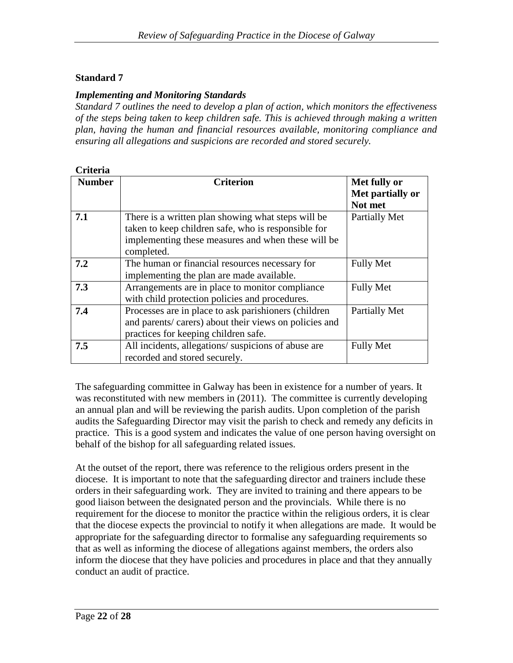## *Implementing and Monitoring Standards*

*Standard 7 outlines the need to develop a plan of action, which monitors the effectiveness of the steps being taken to keep children safe. This is achieved through making a written plan, having the human and financial resources available, monitoring compliance and ensuring all allegations and suspicions are recorded and stored securely.*

| Criteria      |                                                                                                                                                                               |                                             |
|---------------|-------------------------------------------------------------------------------------------------------------------------------------------------------------------------------|---------------------------------------------|
| <b>Number</b> | <b>Criterion</b>                                                                                                                                                              | Met fully or<br>Met partially or<br>Not met |
| 7.1           | There is a written plan showing what steps will be<br>taken to keep children safe, who is responsible for<br>implementing these measures and when these will be<br>completed. | Partially Met                               |
| 7.2           | The human or financial resources necessary for<br>implementing the plan are made available.                                                                                   | <b>Fully Met</b>                            |
| 7.3           | Arrangements are in place to monitor compliance<br>with child protection policies and procedures.                                                                             | <b>Fully Met</b>                            |
| 7.4           | Processes are in place to ask parishioners (children<br>and parents/ carers) about their views on policies and<br>practices for keeping children safe.                        | Partially Met                               |
| 7.5           | All incidents, allegations/suspicions of abuse are<br>recorded and stored securely.                                                                                           | <b>Fully Met</b>                            |

The safeguarding committee in Galway has been in existence for a number of years. It was reconstituted with new members in (2011). The committee is currently developing an annual plan and will be reviewing the parish audits. Upon completion of the parish audits the Safeguarding Director may visit the parish to check and remedy any deficits in practice. This is a good system and indicates the value of one person having oversight on behalf of the bishop for all safeguarding related issues.

At the outset of the report, there was reference to the religious orders present in the diocese. It is important to note that the safeguarding director and trainers include these orders in their safeguarding work. They are invited to training and there appears to be good liaison between the designated person and the provincials. While there is no requirement for the diocese to monitor the practice within the religious orders, it is clear that the diocese expects the provincial to notify it when allegations are made. It would be appropriate for the safeguarding director to formalise any safeguarding requirements so that as well as informing the diocese of allegations against members, the orders also inform the diocese that they have policies and procedures in place and that they annually conduct an audit of practice.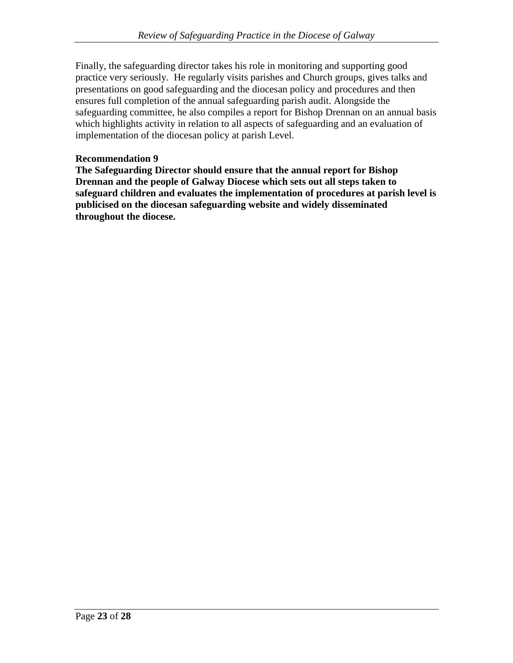Finally, the safeguarding director takes his role in monitoring and supporting good practice very seriously. He regularly visits parishes and Church groups, gives talks and presentations on good safeguarding and the diocesan policy and procedures and then ensures full completion of the annual safeguarding parish audit. Alongside the safeguarding committee, he also compiles a report for Bishop Drennan on an annual basis which highlights activity in relation to all aspects of safeguarding and an evaluation of implementation of the diocesan policy at parish Level.

### **Recommendation 9**

**The Safeguarding Director should ensure that the annual report for Bishop Drennan and the people of Galway Diocese which sets out all steps taken to safeguard children and evaluates the implementation of procedures at parish level is publicised on the diocesan safeguarding website and widely disseminated throughout the diocese.**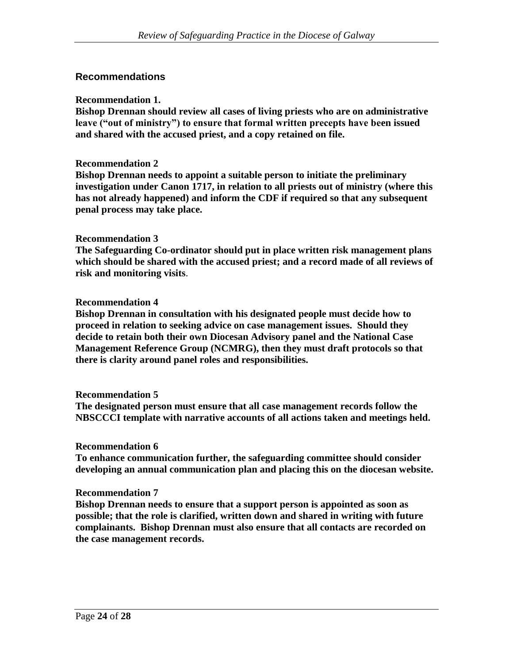## **Recommendations**

#### **Recommendation 1.**

**Bishop Drennan should review all cases of living priests who are on administrative leave ("out of ministry") to ensure that formal written precepts have been issued and shared with the accused priest, and a copy retained on file.**

#### **Recommendation 2**

**Bishop Drennan needs to appoint a suitable person to initiate the preliminary investigation under Canon 1717, in relation to all priests out of ministry (where this has not already happened) and inform the CDF if required so that any subsequent penal process may take place.**

#### **Recommendation 3**

**The Safeguarding Co-ordinator should put in place written risk management plans which should be shared with the accused priest; and a record made of all reviews of risk and monitoring visits**.

#### **Recommendation 4**

**Bishop Drennan in consultation with his designated people must decide how to proceed in relation to seeking advice on case management issues. Should they decide to retain both their own Diocesan Advisory panel and the National Case Management Reference Group (NCMRG), then they must draft protocols so that there is clarity around panel roles and responsibilities.**

#### **Recommendation 5**

**The designated person must ensure that all case management records follow the NBSCCCI template with narrative accounts of all actions taken and meetings held.**

#### **Recommendation 6**

**To enhance communication further, the safeguarding committee should consider developing an annual communication plan and placing this on the diocesan website.**

#### **Recommendation 7**

**Bishop Drennan needs to ensure that a support person is appointed as soon as possible; that the role is clarified, written down and shared in writing with future complainants. Bishop Drennan must also ensure that all contacts are recorded on the case management records.**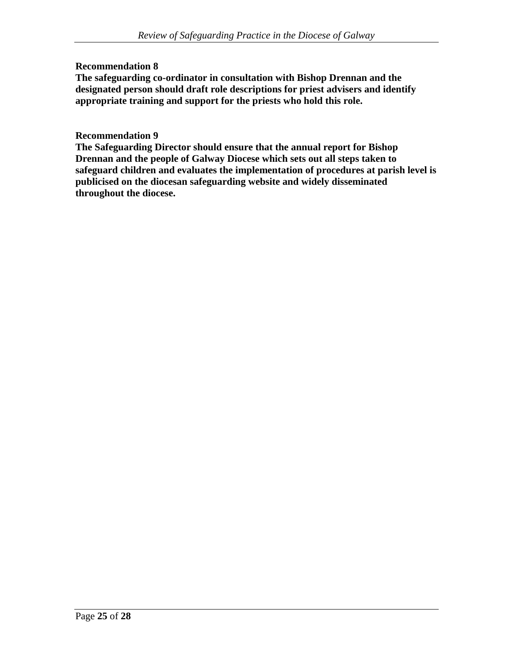## **Recommendation 8**

**The safeguarding co-ordinator in consultation with Bishop Drennan and the designated person should draft role descriptions for priest advisers and identify appropriate training and support for the priests who hold this role.**

#### **Recommendation 9**

**The Safeguarding Director should ensure that the annual report for Bishop Drennan and the people of Galway Diocese which sets out all steps taken to safeguard children and evaluates the implementation of procedures at parish level is publicised on the diocesan safeguarding website and widely disseminated throughout the diocese.**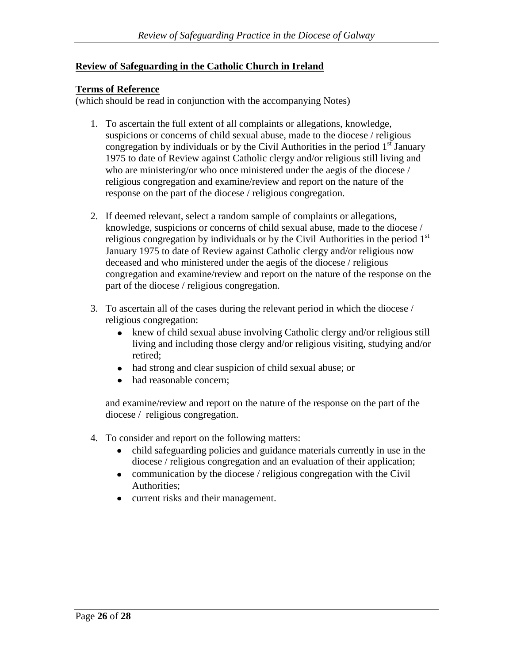## **Review of Safeguarding in the Catholic Church in Ireland**

#### **Terms of Reference**

(which should be read in conjunction with the accompanying Notes)

- 1. To ascertain the full extent of all complaints or allegations, knowledge, suspicions or concerns of child sexual abuse, made to the diocese / religious congregation by individuals or by the Civil Authorities in the period  $1<sup>st</sup>$  January 1975 to date of Review against Catholic clergy and/or religious still living and who are ministering/or who once ministered under the aegis of the diocese / religious congregation and examine/review and report on the nature of the response on the part of the diocese / religious congregation.
- 2. If deemed relevant, select a random sample of complaints or allegations, knowledge, suspicions or concerns of child sexual abuse, made to the diocese / religious congregation by individuals or by the Civil Authorities in the period  $1<sup>st</sup>$ January 1975 to date of Review against Catholic clergy and/or religious now deceased and who ministered under the aegis of the diocese / religious congregation and examine/review and report on the nature of the response on the part of the diocese / religious congregation.
- 3. To ascertain all of the cases during the relevant period in which the diocese / religious congregation:
	- knew of child sexual abuse involving Catholic clergy and/or religious still living and including those clergy and/or religious visiting, studying and/or retired;
	- had strong and clear suspicion of child sexual abuse; or
	- had reasonable concern:

and examine/review and report on the nature of the response on the part of the diocese / religious congregation.

- 4. To consider and report on the following matters:
	- child safeguarding policies and guidance materials currently in use in the diocese / religious congregation and an evaluation of their application;
	- communication by the diocese / religious congregation with the Civil Authorities;
	- current risks and their management.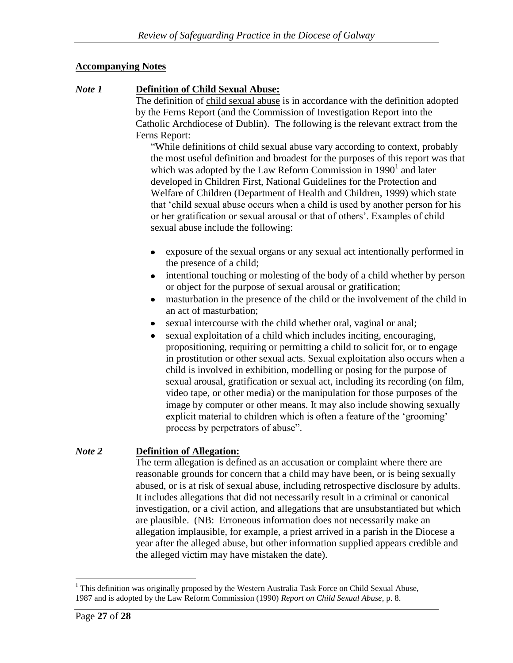## **Accompanying Notes**

## *Note 1* **Definition of Child Sexual Abuse:**

The definition of child sexual abuse is in accordance with the definition adopted by the Ferns Report (and the Commission of Investigation Report into the Catholic Archdiocese of Dublin). The following is the relevant extract from the Ferns Report:

"While definitions of child sexual abuse vary according to context, probably the most useful definition and broadest for the purposes of this report was that which was adopted by the Law Reform Commission in  $1990<sup>1</sup>$  and later developed in Children First, National Guidelines for the Protection and Welfare of Children (Department of Health and Children, 1999) which state that 'child sexual abuse occurs when a child is used by another person for his or her gratification or sexual arousal or that of others'. Examples of child sexual abuse include the following:

- exposure of the sexual organs or any sexual act intentionally performed in the presence of a child;
- intentional touching or molesting of the body of a child whether by person or object for the purpose of sexual arousal or gratification;
- masturbation in the presence of the child or the involvement of the child in  $\bullet$ an act of masturbation;
- sexual intercourse with the child whether oral, vaginal or anal;
- sexual exploitation of a child which includes inciting, encouraging, propositioning, requiring or permitting a child to solicit for, or to engage in prostitution or other sexual acts. Sexual exploitation also occurs when a child is involved in exhibition, modelling or posing for the purpose of sexual arousal, gratification or sexual act, including its recording (on film, video tape, or other media) or the manipulation for those purposes of the image by computer or other means. It may also include showing sexually explicit material to children which is often a feature of the 'grooming' process by perpetrators of abuse".

## *Note 2* **Definition of Allegation:**

The term allegation is defined as an accusation or complaint where there are reasonable grounds for concern that a child may have been, or is being sexually abused, or is at risk of sexual abuse, including retrospective disclosure by adults. It includes allegations that did not necessarily result in a criminal or canonical investigation, or a civil action, and allegations that are unsubstantiated but which are plausible. (NB: Erroneous information does not necessarily make an allegation implausible, for example, a priest arrived in a parish in the Diocese a year after the alleged abuse, but other information supplied appears credible and the alleged victim may have mistaken the date).

 $\overline{a}$ <sup>1</sup> This definition was originally proposed by the Western Australia Task Force on Child Sexual Abuse, 1987 and is adopted by the Law Reform Commission (1990) *Report on Child Sexual Abuse*, p. 8.